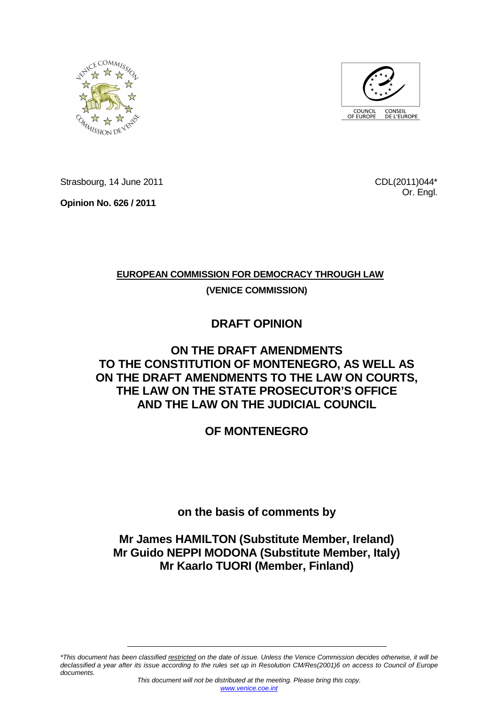



Strasbourg, 14 June 2011

**Opinion No. 626 / 2011** 

CDL(2011)044\* Or. Engl.

# **EUROPEAN COMMISSION FOR DEMOCRACY THROUGH LAW**

**(VENICE COMMISSION)**

# **DRAFT OPINION**

# **ON THE DRAFT AMENDMENTS TO THE CONSTITUTION OF MONTENEGRO, AS WELL AS ON THE DRAFT AMENDMENTS TO THE LAW ON COURTS, THE LAW ON THE STATE PROSECUTOR'S OFFICE AND THE LAW ON THE JUDICIAL COUNCIL**

# **OF MONTENEGRO**

**on the basis of comments by** 

# **Mr James HAMILTON (Substitute Member, Ireland) Mr Guido NEPPI MODONA (Substitute Member, Italy) Mr Kaarlo TUORI (Member, Finland)**

\*This document has been classified restricted on the date of issue. Unless the Venice Commission decides otherwise, it will be declassified a year after its issue according to the rules set up in Resolution CM/Res(2001)6 on access to Council of Europe documents.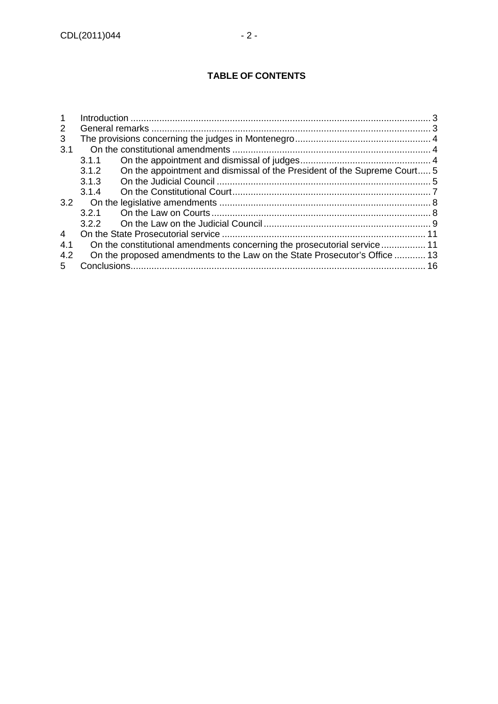| $\mathbf 1$ |                                                                            |                                                                          |  |
|-------------|----------------------------------------------------------------------------|--------------------------------------------------------------------------|--|
| 2           |                                                                            |                                                                          |  |
| 3           |                                                                            |                                                                          |  |
| 3.1         |                                                                            |                                                                          |  |
|             | 3.1.1                                                                      |                                                                          |  |
|             | 3.1.2                                                                      | On the appointment and dismissal of the President of the Supreme Court 5 |  |
|             | 3.1.3                                                                      |                                                                          |  |
|             | 3.1.4                                                                      |                                                                          |  |
| 3.2         |                                                                            |                                                                          |  |
|             | 3.2.1                                                                      |                                                                          |  |
|             | 3.2.2                                                                      |                                                                          |  |
| 4           |                                                                            |                                                                          |  |
| 4.1         | On the constitutional amendments concerning the prosecutorial service 11   |                                                                          |  |
| 4.2         | On the proposed amendments to the Law on the State Prosecutor's Office  13 |                                                                          |  |
| 5           | 16                                                                         |                                                                          |  |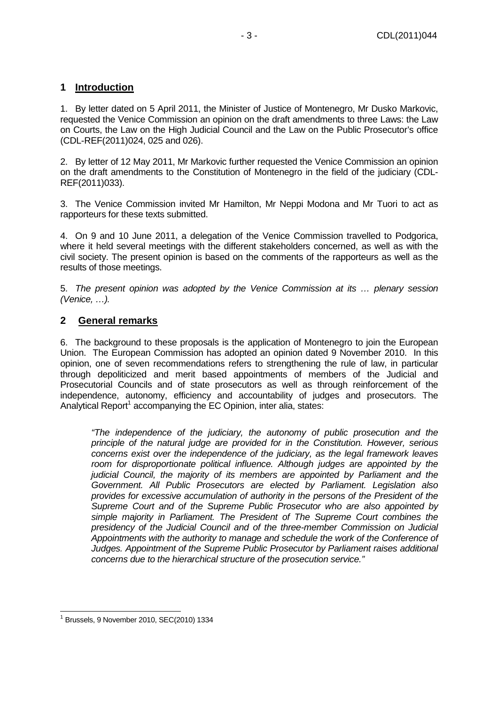## **1 Introduction**

1. By letter dated on 5 April 2011, the Minister of Justice of Montenegro, Mr Dusko Markovic, requested the Venice Commission an opinion on the draft amendments to three Laws: the Law on Courts, the Law on the High Judicial Council and the Law on the Public Prosecutor's office (CDL-REF(2011)024, 025 and 026).

2. By letter of 12 May 2011, Mr Markovic further requested the Venice Commission an opinion on the draft amendments to the Constitution of Montenegro in the field of the judiciary (CDL-REF(2011)033).

3. The Venice Commission invited Mr Hamilton, Mr Neppi Modona and Mr Tuori to act as rapporteurs for these texts submitted.

4. On 9 and 10 June 2011, a delegation of the Venice Commission travelled to Podgorica, where it held several meetings with the different stakeholders concerned, as well as with the civil society. The present opinion is based on the comments of the rapporteurs as well as the results of those meetings.

5. The present opinion was adopted by the Venice Commission at its … plenary session (Venice, …).

## **2 General remarks**

6. The background to these proposals is the application of Montenegro to join the European Union. The European Commission has adopted an opinion dated 9 November 2010. In this opinion, one of seven recommendations refers to strengthening the rule of law, in particular through depoliticized and merit based appointments of members of the Judicial and Prosecutorial Councils and of state prosecutors as well as through reinforcement of the independence, autonomy, efficiency and accountability of judges and prosecutors. The Analytical Report<sup>1</sup> accompanying the EC Opinion, inter alia, states:

"The independence of the judiciary, the autonomy of public prosecution and the principle of the natural judge are provided for in the Constitution. However, serious concerns exist over the independence of the judiciary, as the legal framework leaves room for disproportionate political influence. Although judges are appointed by the judicial Council, the majority of its members are appointed by Parliament and the Government. All Public Prosecutors are elected by Parliament. Legislation also provides for excessive accumulation of authority in the persons of the President of the Supreme Court and of the Supreme Public Prosecutor who are also appointed by simple majority in Parliament. The President of The Supreme Court combines the presidency of the Judicial Council and of the three-member Commission on Judicial Appointments with the authority to manage and schedule the work of the Conference of Judges. Appointment of the Supreme Public Prosecutor by Parliament raises additional concerns due to the hierarchical structure of the prosecution service."

 $\overline{a}$ 

<sup>1</sup> Brussels, 9 November 2010, SEC(2010) 1334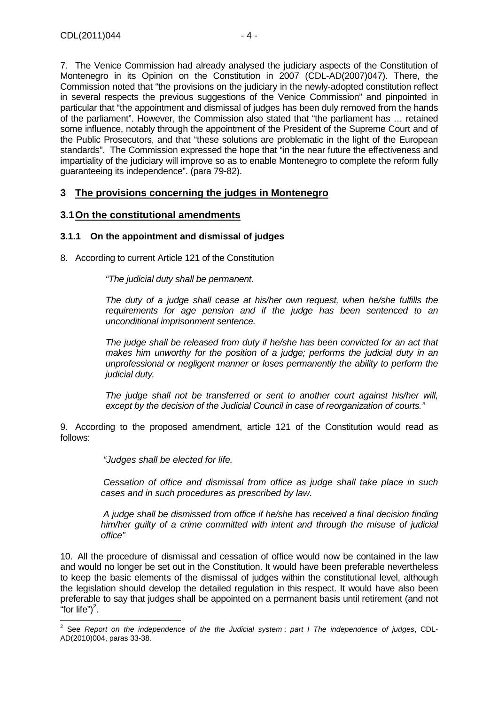7. The Venice Commission had already analysed the judiciary aspects of the Constitution of Montenegro in its Opinion on the Constitution in 2007 (CDL-AD(2007)047). There, the Commission noted that "the provisions on the judiciary in the newly-adopted constitution reflect in several respects the previous suggestions of the Venice Commission" and pinpointed in particular that "the appointment and dismissal of judges has been duly removed from the hands of the parliament". However, the Commission also stated that "the parliament has … retained some influence, notably through the appointment of the President of the Supreme Court and of the Public Prosecutors, and that "these solutions are problematic in the light of the European standards". The Commission expressed the hope that "in the near future the effectiveness and impartiality of the judiciary will improve so as to enable Montenegro to complete the reform fully guaranteeing its independence". (para 79-82).

## **3 The provisions concerning the judges in Montenegro**

### **3.1 On the constitutional amendments**

#### **3.1.1 On the appointment and dismissal of judges**

8. According to current Article 121 of the Constitution

"The judicial duty shall be permanent.

The duty of a judge shall cease at his/her own request, when he/she fulfills the requirements for age pension and if the judge has been sentenced to an unconditional imprisonment sentence.

The judge shall be released from duty if he/she has been convicted for an act that makes him unworthy for the position of a judge; performs the judicial duty in an unprofessional or negligent manner or loses permanently the ability to perform the judicial duty.

The judge shall not be transferred or sent to another court against his/her will, except by the decision of the Judicial Council in case of reorganization of courts."

9. According to the proposed amendment, article 121 of the Constitution would read as follows:

"Judges shall be elected for life.

Cessation of office and dismissal from office as judge shall take place in such cases and in such procedures as prescribed by law.

A judge shall be dismissed from office if he/she has received a final decision finding him/her guilty of a crime committed with intent and through the misuse of judicial office"

10. All the procedure of dismissal and cessation of office would now be contained in the law and would no longer be set out in the Constitution. It would have been preferable nevertheless to keep the basic elements of the dismissal of judges within the constitutional level, although the legislation should develop the detailed regulation in this respect. It would have also been preferable to say that judges shall be appointed on a permanent basis until retirement (and not "for life" $)^2$ .

 2 See Report on the independence of the the Judicial system : part I The independence of judges, CDL-AD(2010)004, paras 33-38.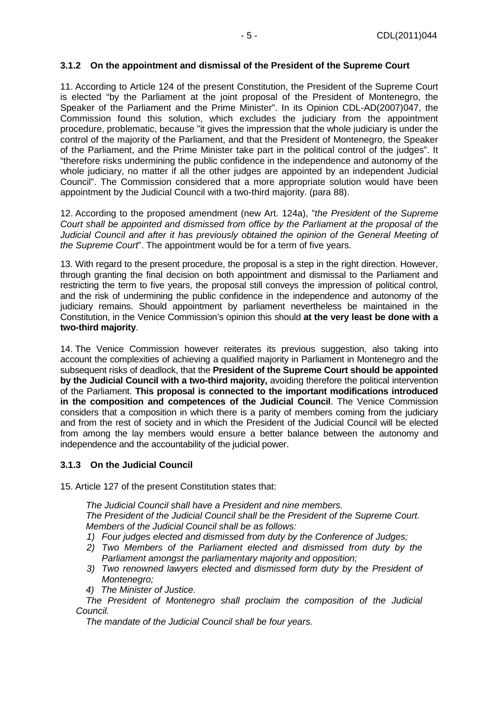#### **3.1.2 On the appointment and dismissal of the President of the Supreme Court**

11. According to Article 124 of the present Constitution, the President of the Supreme Court is elected "by the Parliament at the joint proposal of the President of Montenegro, the Speaker of the Parliament and the Prime Minister". In its Opinion CDL-AD(2007)047, the Commission found this solution, which excludes the judiciary from the appointment procedure, problematic, because "it gives the impression that the whole judiciary is under the control of the majority of the Parliament, and that the President of Montenegro, the Speaker of the Parliament, and the Prime Minister take part in the political control of the judges". It "therefore risks undermining the public confidence in the independence and autonomy of the whole judiciary, no matter if all the other judges are appointed by an independent Judicial Council". The Commission considered that a more appropriate solution would have been appointment by the Judicial Council with a two-third majority. (para 88).

12. According to the proposed amendment (new Art. 124a), "the President of the Supreme Court shall be appointed and dismissed from office by the Parliament at the proposal of the Judicial Council and after it has previously obtained the opinion of the General Meeting of the Supreme Court". The appointment would be for a term of five years.

13. With regard to the present procedure, the proposal is a step in the right direction. However, through granting the final decision on both appointment and dismissal to the Parliament and restricting the term to five years, the proposal still conveys the impression of political control, and the risk of undermining the public confidence in the independence and autonomy of the judiciary remains. Should appointment by parliament nevertheless be maintained in the Constitution, in the Venice Commission's opinion this should **at the very least be done with a two-third majority**.

14. The Venice Commission however reiterates its previous suggestion, also taking into account the complexities of achieving a qualified majority in Parliament in Montenegro and the subsequent risks of deadlock, that the **President of the Supreme Court should be appointed by the Judicial Council with a two-third majority,** avoiding therefore the political intervention of the Parliament. **This proposal is connected to the important modifications introduced in the composition and competences of the Judicial Council**. The Venice Commission considers that a composition in which there is a parity of members coming from the judiciary and from the rest of society and in which the President of the Judicial Council will be elected from among the lay members would ensure a better balance between the autonomy and independence and the accountability of the judicial power.

#### **3.1.3 On the Judicial Council**

15. Article 127 of the present Constitution states that:

The Judicial Council shall have a President and nine members. The President of the Judicial Council shall be the President of the Supreme Court. Members of the Judicial Council shall be as follows:

- 1) Four judges elected and dismissed from duty by the Conference of Judges;
- 2) Two Members of the Parliament elected and dismissed from duty by the Parliament amongst the parliamentary majority and opposition:
- 3) Two renowned lawyers elected and dismissed form duty by the President of Montenegro;
- 4) The Minister of Justice.

The President of Montenegro shall proclaim the composition of the Judicial Council.

The mandate of the Judicial Council shall be four years.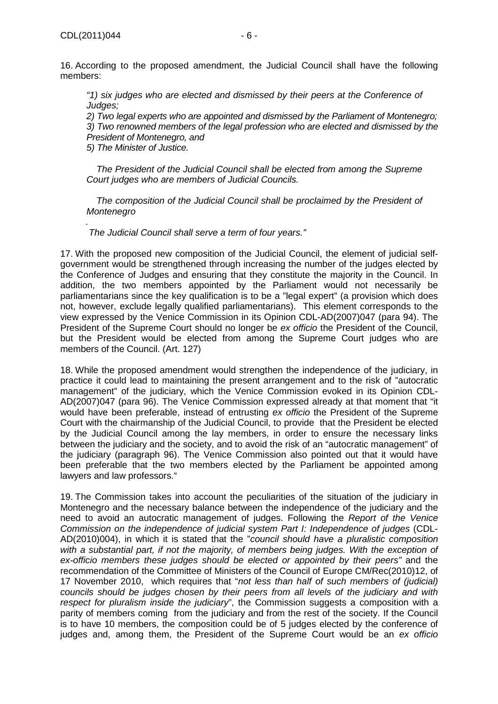"1) six judges who are elected and dismissed by their peers at the Conference of Judges;

2) Two legal experts who are appointed and dismissed by the Parliament of Montenegro; 3) Two renowned members of the legal profession who are elected and dismissed by the President of Montenegro, and

5) The Minister of Justice.

The President of the Judicial Council shall be elected from among the Supreme Court judges who are members of Judicial Councils.

The composition of the Judicial Council shall be proclaimed by the President of **Montenegro** 

. The Judicial Council shall serve a term of four years."

17. With the proposed new composition of the Judicial Council, the element of judicial selfgovernment would be strengthened through increasing the number of the judges elected by the Conference of Judges and ensuring that they constitute the majority in the Council. In addition, the two members appointed by the Parliament would not necessarily be parliamentarians since the key qualification is to be a "legal expert" (a provision which does not, however, exclude legally qualified parliamentarians). This element corresponds to the view expressed by the Venice Commission in its Opinion CDL-AD(2007)047 (para 94). The President of the Supreme Court should no longer be ex officio the President of the Council, but the President would be elected from among the Supreme Court judges who are members of the Council. (Art. 127)

18. While the proposed amendment would strengthen the independence of the judiciary, in practice it could lead to maintaining the present arrangement and to the risk of "autocratic management" of the judiciary, which the Venice Commission evoked in its Opinion CDL-AD(2007)047 (para 96). The Venice Commission expressed already at that moment that "it would have been preferable, instead of entrusting ex officio the President of the Supreme Court with the chairmanship of the Judicial Council, to provide that the President be elected by the Judicial Council among the lay members, in order to ensure the necessary links between the judiciary and the society, and to avoid the risk of an "autocratic management" of the judiciary (paragraph 96). The Venice Commission also pointed out that it would have been preferable that the two members elected by the Parliament be appointed among lawyers and law professors."

19. The Commission takes into account the peculiarities of the situation of the judiciary in Montenegro and the necessary balance between the independence of the judiciary and the need to avoid an autocratic management of judges. Following the Report of the Venice Commission on the independence of judicial system Part I: Independence of judges (CDL-AD(2010)004), in which it is stated that the "council should have a pluralistic composition with a substantial part, if not the majority, of members being judges. With the exception of ex-officio members these judges should be elected or appointed by their peers" and the recommendation of the Committee of Ministers of the Council of Europe CM/Rec(2010)12, of 17 November 2010, which requires that "not less than half of such members of (judicial) councils should be judges chosen by their peers from all levels of the judiciary and with respect for pluralism inside the judiciary", the Commission suggests a composition with a parity of members coming from the judiciary and from the rest of the society. If the Council is to have 10 members, the composition could be of 5 judges elected by the conference of judges and, among them, the President of the Supreme Court would be an ex officio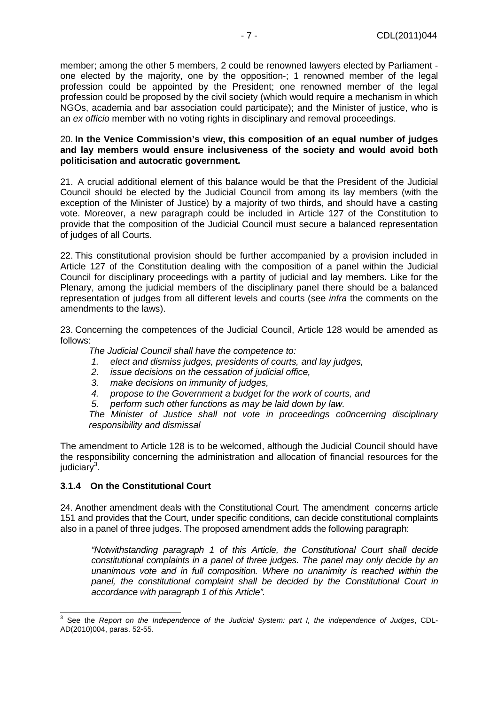member; among the other 5 members, 2 could be renowned lawyers elected by Parliament one elected by the majority, one by the opposition-; 1 renowned member of the legal profession could be appointed by the President; one renowned member of the legal profession could be proposed by the civil society (which would require a mechanism in which NGOs, academia and bar association could participate); and the Minister of justice, who is an ex officio member with no voting rights in disciplinary and removal proceedings.

#### 20. **In the Venice Commission's view, this composition of an equal number of judges and lay members would ensure inclusiveness of the society and would avoid both politicisation and autocratic government.**

21. A crucial additional element of this balance would be that the President of the Judicial Council should be elected by the Judicial Council from among its lay members (with the exception of the Minister of Justice) by a majority of two thirds, and should have a casting vote. Moreover, a new paragraph could be included in Article 127 of the Constitution to provide that the composition of the Judicial Council must secure a balanced representation of judges of all Courts.

22. This constitutional provision should be further accompanied by a provision included in Article 127 of the Constitution dealing with the composition of a panel within the Judicial Council for disciplinary proceedings with a partity of judicial and lay members. Like for the Plenary, among the judicial members of the disciplinary panel there should be a balanced representation of judges from all different levels and courts (see infra the comments on the amendments to the laws).

23. Concerning the competences of the Judicial Council, Article 128 would be amended as follows:

The Judicial Council shall have the competence to:

- 1. elect and dismiss judges, presidents of courts, and lay judges,
- 2. issue decisions on the cessation of judicial office,
- 3. make decisions on immunity of judges,
- 4. propose to the Government a budget for the work of courts, and
- 5. perform such other functions as may be laid down by law.

The Minister of Justice shall not vote in proceedings co0ncerning disciplinary responsibility and dismissal

The amendment to Article 128 is to be welcomed, although the Judicial Council should have the responsibility concerning the administration and allocation of financial resources for the judiciary<sup>3</sup>.

#### **3.1.4 On the Constitutional Court**

24. Another amendment deals with the Constitutional Court. The amendment concerns article 151 and provides that the Court, under specific conditions, can decide constitutional complaints also in a panel of three judges. The proposed amendment adds the following paragraph:

"Notwithstanding paragraph 1 of this Article, the Constitutional Court shall decide constitutional complaints in a panel of three judges. The panel may only decide by an unanimous vote and in full composition. Where no unanimity is reached within the panel, the constitutional complaint shall be decided by the Constitutional Court in accordance with paragraph 1 of this Article".

 3 See the Report on the Independence of the Judicial System: part I, the independence of Judges, CDL-AD(2010)004, paras. 52-55.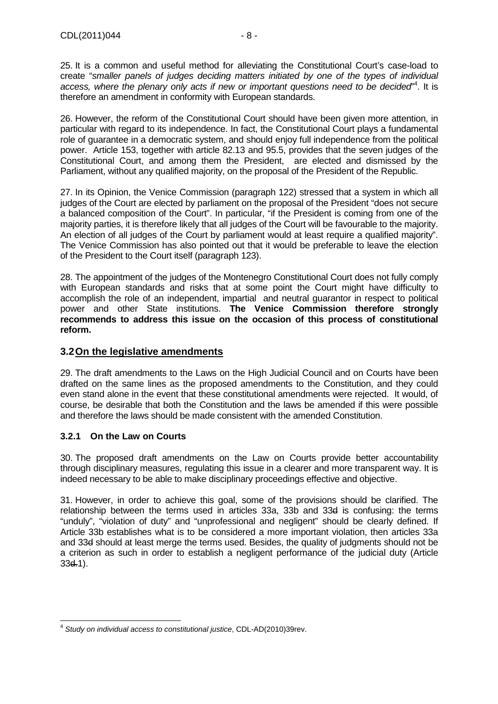25. It is a common and useful method for alleviating the Constitutional Court's case-load to create "smaller panels of judges deciding matters initiated by one of the types of individual access, where the plenary only acts if new or important questions need to be decided"<sup>4</sup>. It is therefore an amendment in conformity with European standards.

26. However, the reform of the Constitutional Court should have been given more attention, in particular with regard to its independence. In fact, the Constitutional Court plays a fundamental role of guarantee in a democratic system, and should enjoy full independence from the political power. Article 153, together with article 82.13 and 95.5, provides that the seven judges of the Constitutional Court, and among them the President, are elected and dismissed by the Parliament, without any qualified majority, on the proposal of the President of the Republic.

27. In its Opinion, the Venice Commission (paragraph 122) stressed that a system in which all judges of the Court are elected by parliament on the proposal of the President "does not secure a balanced composition of the Court". In particular, "if the President is coming from one of the majority parties, it is therefore likely that all judges of the Court will be favourable to the majority. An election of all judges of the Court by parliament would at least require a qualified majority". The Venice Commission has also pointed out that it would be preferable to leave the election of the President to the Court itself (paragraph 123).

28. The appointment of the judges of the Montenegro Constitutional Court does not fully comply with European standards and risks that at some point the Court might have difficulty to accomplish the role of an independent, impartial and neutral guarantor in respect to political power and other State institutions. **The Venice Commission therefore strongly recommends to address this issue on the occasion of this process of constitutional reform.**

## **3.2 On the legislative amendments**

29. The draft amendments to the Laws on the High Judicial Council and on Courts have been drafted on the same lines as the proposed amendments to the Constitution, and they could even stand alone in the event that these constitutional amendments were rejected. It would, of course, be desirable that both the Constitution and the laws be amended if this were possible and therefore the laws should be made consistent with the amended Constitution.

#### **3.2.1 On the Law on Courts**

30. The proposed draft amendments on the Law on Courts provide better accountability through disciplinary measures, regulating this issue in a clearer and more transparent way. It is indeed necessary to be able to make disciplinary proceedings effective and objective.

31. However, in order to achieve this goal, some of the provisions should be clarified. The relationship between the terms used in articles 33a, 33b and 33d is confusing: the terms "unduly", "violation of duty" and "unprofessional and negligent" should be clearly defined. If Article 33b establishes what is to be considered a more important violation, then articles 33a and 33d should at least merge the terms used. Besides, the quality of judgments should not be a criterion as such in order to establish a negligent performance of the judicial duty (Article 33d.1).

 4 Study on individual access to constitutional justice, CDL-AD(2010)39rev.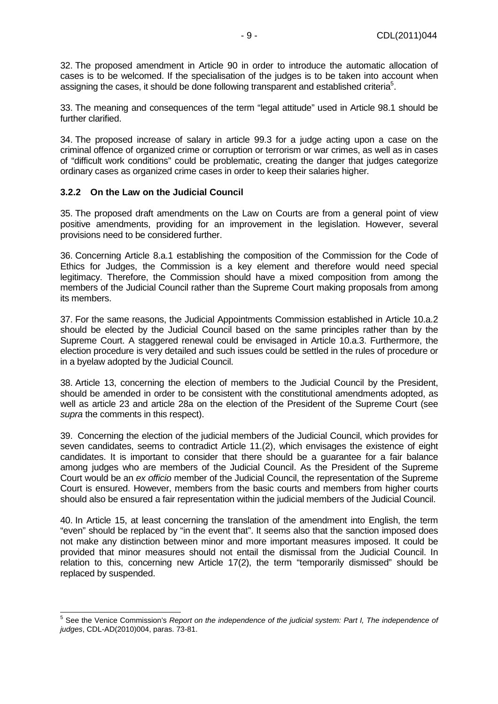32. The proposed amendment in Article 90 in order to introduce the automatic allocation of cases is to be welcomed. If the specialisation of the judges is to be taken into account when assigning the cases, it should be done following transparent and established criteria<sup>5</sup>.

33. The meaning and consequences of the term "legal attitude" used in Article 98.1 should be further clarified.

34. The proposed increase of salary in article 99.3 for a judge acting upon a case on the criminal offence of organized crime or corruption or terrorism or war crimes, as well as in cases of "difficult work conditions" could be problematic, creating the danger that judges categorize ordinary cases as organized crime cases in order to keep their salaries higher.

#### **3.2.2 On the Law on the Judicial Council**

35. The proposed draft amendments on the Law on Courts are from a general point of view positive amendments, providing for an improvement in the legislation. However, several provisions need to be considered further.

36. Concerning Article 8.a.1 establishing the composition of the Commission for the Code of Ethics for Judges, the Commission is a key element and therefore would need special legitimacy. Therefore, the Commission should have a mixed composition from among the members of the Judicial Council rather than the Supreme Court making proposals from among its members.

37. For the same reasons, the Judicial Appointments Commission established in Article 10.a.2 should be elected by the Judicial Council based on the same principles rather than by the Supreme Court. A staggered renewal could be envisaged in Article 10.a.3. Furthermore, the election procedure is very detailed and such issues could be settled in the rules of procedure or in a byelaw adopted by the Judicial Council.

38. Article 13, concerning the election of members to the Judicial Council by the President, should be amended in order to be consistent with the constitutional amendments adopted, as well as article 23 and article 28a on the election of the President of the Supreme Court (see supra the comments in this respect).

39. Concerning the election of the judicial members of the Judicial Council, which provides for seven candidates, seems to contradict Article 11.(2), which envisages the existence of eight candidates. It is important to consider that there should be a guarantee for a fair balance among judges who are members of the Judicial Council. As the President of the Supreme Court would be an ex officio member of the Judicial Council, the representation of the Supreme Court is ensured. However, members from the basic courts and members from higher courts should also be ensured a fair representation within the judicial members of the Judicial Council.

40. In Article 15, at least concerning the translation of the amendment into English, the term "even" should be replaced by "in the event that". It seems also that the sanction imposed does not make any distinction between minor and more important measures imposed. It could be provided that minor measures should not entail the dismissal from the Judicial Council. In relation to this, concerning new Article 17(2), the term "temporarily dismissed" should be replaced by suspended.

 5 See the Venice Commission's Report on the independence of the judicial system: Part I, The independence of judges, CDL-AD(2010)004, paras. 73-81.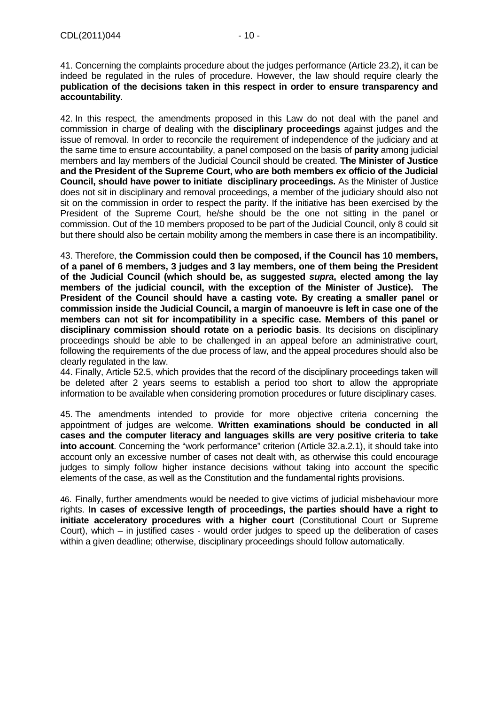41. Concerning the complaints procedure about the judges performance (Article 23.2), it can be indeed be regulated in the rules of procedure. However, the law should require clearly the **publication of the decisions taken in this respect in order to ensure transparency and accountability**.

42. In this respect, the amendments proposed in this Law do not deal with the panel and commission in charge of dealing with the **disciplinary proceedings** against judges and the issue of removal. In order to reconcile the requirement of independence of the judiciary and at the same time to ensure accountability, a panel composed on the basis of **parity** among judicial members and lay members of the Judicial Council should be created. **The Minister of Justice and the President of the Supreme Court, who are both members ex officio of the Judicial Council, should have power to initiate disciplinary proceedings.** As the Minister of Justice does not sit in disciplinary and removal proceedings, a member of the judiciary should also not sit on the commission in order to respect the parity. If the initiative has been exercised by the President of the Supreme Court, he/she should be the one not sitting in the panel or commission. Out of the 10 members proposed to be part of the Judicial Council, only 8 could sit but there should also be certain mobility among the members in case there is an incompatibility.

43. Therefore, **the Commission could then be composed, if the Council has 10 members, of a panel of 6 members, 3 judges and 3 lay members, one of them being the President of the Judicial Council (which should be, as suggested supra, elected among the lay members of the judicial council, with the exception of the Minister of Justice). The President of the Council should have a casting vote. By creating a smaller panel or commission inside the Judicial Council, a margin of manoeuvre is left in case one of the members can not sit for incompatibility in a specific case. Members of this panel or disciplinary commission should rotate on a periodic basis**. Its decisions on disciplinary proceedings should be able to be challenged in an appeal before an administrative court, following the requirements of the due process of law, and the appeal procedures should also be clearly regulated in the law.

44. Finally, Article 52.5, which provides that the record of the disciplinary proceedings taken will be deleted after 2 years seems to establish a period too short to allow the appropriate information to be available when considering promotion procedures or future disciplinary cases.

45. The amendments intended to provide for more objective criteria concerning the appointment of judges are welcome. **Written examinations should be conducted in all cases and the computer literacy and languages skills are very positive criteria to take into account**. Concerning the "work performance" criterion (Article 32.a.2.1), it should take into account only an excessive number of cases not dealt with, as otherwise this could encourage judges to simply follow higher instance decisions without taking into account the specific elements of the case, as well as the Constitution and the fundamental rights provisions.

46. Finally, further amendments would be needed to give victims of judicial misbehaviour more rights. **In cases of excessive length of proceedings, the parties should have a right to initiate acceleratory procedures with a higher court** (Constitutional Court or Supreme Court), which – in justified cases - would order judges to speed up the deliberation of cases within a given deadline; otherwise, disciplinary proceedings should follow automatically.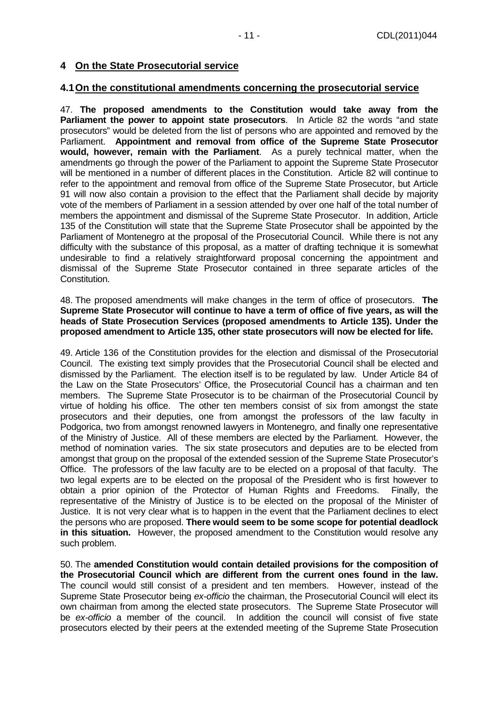#### **4.1 On the constitutional amendments concerning the prosecutorial service**

47. **The proposed amendments to the Constitution would take away from the Parliament the power to appoint state prosecutors**. In Article 82 the words "and state prosecutors" would be deleted from the list of persons who are appointed and removed by the Parliament. **Appointment and removal from office of the Supreme State Prosecutor would, however, remain with the Parliament**. As a purely technical matter, when the amendments go through the power of the Parliament to appoint the Supreme State Prosecutor will be mentioned in a number of different places in the Constitution. Article 82 will continue to refer to the appointment and removal from office of the Supreme State Prosecutor, but Article 91 will now also contain a provision to the effect that the Parliament shall decide by majority vote of the members of Parliament in a session attended by over one half of the total number of members the appointment and dismissal of the Supreme State Prosecutor. In addition, Article 135 of the Constitution will state that the Supreme State Prosecutor shall be appointed by the Parliament of Montenegro at the proposal of the Prosecutorial Council. While there is not any difficulty with the substance of this proposal, as a matter of drafting technique it is somewhat undesirable to find a relatively straightforward proposal concerning the appointment and dismissal of the Supreme State Prosecutor contained in three separate articles of the Constitution.

48. The proposed amendments will make changes in the term of office of prosecutors. **The Supreme State Prosecutor will continue to have a term of office of five years, as will the heads of State Prosecution Services (proposed amendments to Article 135). Under the proposed amendment to Article 135, other state prosecutors will now be elected for life.**

49. Article 136 of the Constitution provides for the election and dismissal of the Prosecutorial Council. The existing text simply provides that the Prosecutorial Council shall be elected and dismissed by the Parliament. The election itself is to be regulated by law. Under Article 84 of the Law on the State Prosecutors' Office, the Prosecutorial Council has a chairman and ten members. The Supreme State Prosecutor is to be chairman of the Prosecutorial Council by virtue of holding his office. The other ten members consist of six from amongst the state prosecutors and their deputies, one from amongst the professors of the law faculty in Podgorica, two from amongst renowned lawyers in Montenegro, and finally one representative of the Ministry of Justice. All of these members are elected by the Parliament. However, the method of nomination varies. The six state prosecutors and deputies are to be elected from amongst that group on the proposal of the extended session of the Supreme State Prosecutor's Office. The professors of the law faculty are to be elected on a proposal of that faculty. The two legal experts are to be elected on the proposal of the President who is first however to obtain a prior opinion of the Protector of Human Rights and Freedoms. Finally, the representative of the Ministry of Justice is to be elected on the proposal of the Minister of Justice. It is not very clear what is to happen in the event that the Parliament declines to elect the persons who are proposed. **There would seem to be some scope for potential deadlock in this situation.** However, the proposed amendment to the Constitution would resolve any such problem.

50. The **amended Constitution would contain detailed provisions for the composition of the Prosecutorial Council which are different from the current ones found in the law.** The council would still consist of a president and ten members. However, instead of the Supreme State Prosecutor being ex-officio the chairman, the Prosecutorial Council will elect its own chairman from among the elected state prosecutors. The Supreme State Prosecutor will be ex-officio a member of the council. In addition the council will consist of five state prosecutors elected by their peers at the extended meeting of the Supreme State Prosecution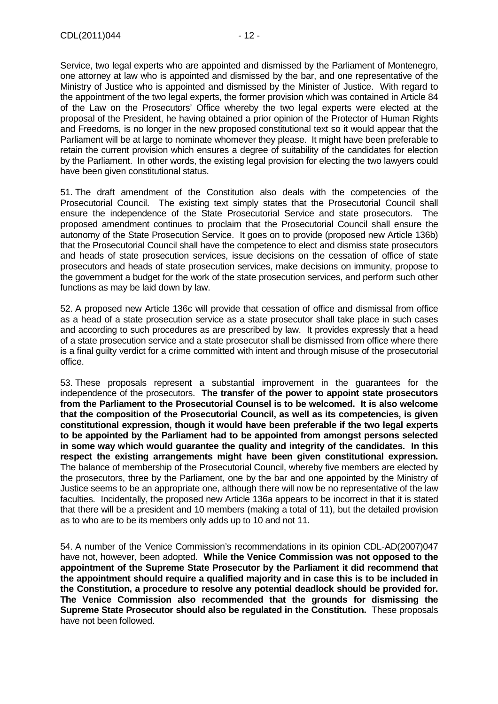Service, two legal experts who are appointed and dismissed by the Parliament of Montenegro, one attorney at law who is appointed and dismissed by the bar, and one representative of the Ministry of Justice who is appointed and dismissed by the Minister of Justice. With regard to the appointment of the two legal experts, the former provision which was contained in Article 84 of the Law on the Prosecutors' Office whereby the two legal experts were elected at the proposal of the President, he having obtained a prior opinion of the Protector of Human Rights and Freedoms, is no longer in the new proposed constitutional text so it would appear that the Parliament will be at large to nominate whomever they please. It might have been preferable to retain the current provision which ensures a degree of suitability of the candidates for election by the Parliament. In other words, the existing legal provision for electing the two lawyers could have been given constitutional status.

51. The draft amendment of the Constitution also deals with the competencies of the Prosecutorial Council. The existing text simply states that the Prosecutorial Council shall ensure the independence of the State Prosecutorial Service and state prosecutors. The proposed amendment continues to proclaim that the Prosecutorial Council shall ensure the autonomy of the State Prosecution Service. It goes on to provide (proposed new Article 136b) that the Prosecutorial Council shall have the competence to elect and dismiss state prosecutors and heads of state prosecution services, issue decisions on the cessation of office of state prosecutors and heads of state prosecution services, make decisions on immunity, propose to the government a budget for the work of the state prosecution services, and perform such other functions as may be laid down by law.

52. A proposed new Article 136c will provide that cessation of office and dismissal from office as a head of a state prosecution service as a state prosecutor shall take place in such cases and according to such procedures as are prescribed by law. It provides expressly that a head of a state prosecution service and a state prosecutor shall be dismissed from office where there is a final guilty verdict for a crime committed with intent and through misuse of the prosecutorial office.

53. These proposals represent a substantial improvement in the guarantees for the independence of the prosecutors. **The transfer of the power to appoint state prosecutors from the Parliament to the Prosecutorial Counsel is to be welcomed. It is also welcome that the composition of the Prosecutorial Council, as well as its competencies, is given constitutional expression, though it would have been preferable if the two legal experts to be appointed by the Parliament had to be appointed from amongst persons selected in some way which would guarantee the quality and integrity of the candidates. In this respect the existing arrangements might have been given constitutional expression.**  The balance of membership of the Prosecutorial Council, whereby five members are elected by the prosecutors, three by the Parliament, one by the bar and one appointed by the Ministry of Justice seems to be an appropriate one, although there will now be no representative of the law faculties. Incidentally, the proposed new Article 136a appears to be incorrect in that it is stated that there will be a president and 10 members (making a total of 11), but the detailed provision as to who are to be its members only adds up to 10 and not 11.

54. A number of the Venice Commission's recommendations in its opinion CDL-AD(2007)047 have not, however, been adopted. **While the Venice Commission was not opposed to the appointment of the Supreme State Prosecutor by the Parliament it did recommend that the appointment should require a qualified majority and in case this is to be included in the Constitution, a procedure to resolve any potential deadlock should be provided for. The Venice Commission also recommended that the grounds for dismissing the Supreme State Prosecutor should also be regulated in the Constitution.** These proposals have not been followed.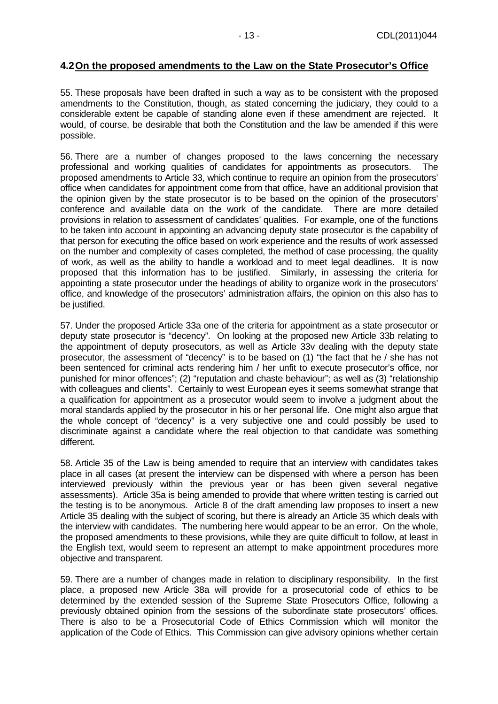## **4.2 On the proposed amendments to the Law on the State Prosecutor's Office**

55. These proposals have been drafted in such a way as to be consistent with the proposed amendments to the Constitution, though, as stated concerning the judiciary, they could to a considerable extent be capable of standing alone even if these amendment are rejected. It would, of course, be desirable that both the Constitution and the law be amended if this were possible.

56. There are a number of changes proposed to the laws concerning the necessary professional and working qualities of candidates for appointments as prosecutors. The proposed amendments to Article 33, which continue to require an opinion from the prosecutors' office when candidates for appointment come from that office, have an additional provision that the opinion given by the state prosecutor is to be based on the opinion of the prosecutors' conference and available data on the work of the candidate. There are more detailed provisions in relation to assessment of candidates' qualities. For example, one of the functions to be taken into account in appointing an advancing deputy state prosecutor is the capability of that person for executing the office based on work experience and the results of work assessed on the number and complexity of cases completed, the method of case processing, the quality of work, as well as the ability to handle a workload and to meet legal deadlines. It is now proposed that this information has to be justified. Similarly, in assessing the criteria for appointing a state prosecutor under the headings of ability to organize work in the prosecutors' office, and knowledge of the prosecutors' administration affairs, the opinion on this also has to be justified.

57. Under the proposed Article 33a one of the criteria for appointment as a state prosecutor or deputy state prosecutor is "decency". On looking at the proposed new Article 33b relating to the appointment of deputy prosecutors, as well as Article 33v dealing with the deputy state prosecutor, the assessment of "decency" is to be based on (1) "the fact that he / she has not been sentenced for criminal acts rendering him / her unfit to execute prosecutor's office, nor punished for minor offences"; (2) "reputation and chaste behaviour"; as well as (3) "relationship with colleagues and clients". Certainly to west European eyes it seems somewhat strange that a qualification for appointment as a prosecutor would seem to involve a judgment about the moral standards applied by the prosecutor in his or her personal life. One might also argue that the whole concept of "decency" is a very subjective one and could possibly be used to discriminate against a candidate where the real objection to that candidate was something different.

58. Article 35 of the Law is being amended to require that an interview with candidates takes place in all cases (at present the interview can be dispensed with where a person has been interviewed previously within the previous year or has been given several negative assessments). Article 35a is being amended to provide that where written testing is carried out the testing is to be anonymous. Article 8 of the draft amending law proposes to insert a new Article 35 dealing with the subject of scoring, but there is already an Article 35 which deals with the interview with candidates. The numbering here would appear to be an error. On the whole, the proposed amendments to these provisions, while they are quite difficult to follow, at least in the English text, would seem to represent an attempt to make appointment procedures more objective and transparent.

59. There are a number of changes made in relation to disciplinary responsibility. In the first place, a proposed new Article 38a will provide for a prosecutorial code of ethics to be determined by the extended session of the Supreme State Prosecutors Office, following a previously obtained opinion from the sessions of the subordinate state prosecutors' offices. There is also to be a Prosecutorial Code of Ethics Commission which will monitor the application of the Code of Ethics. This Commission can give advisory opinions whether certain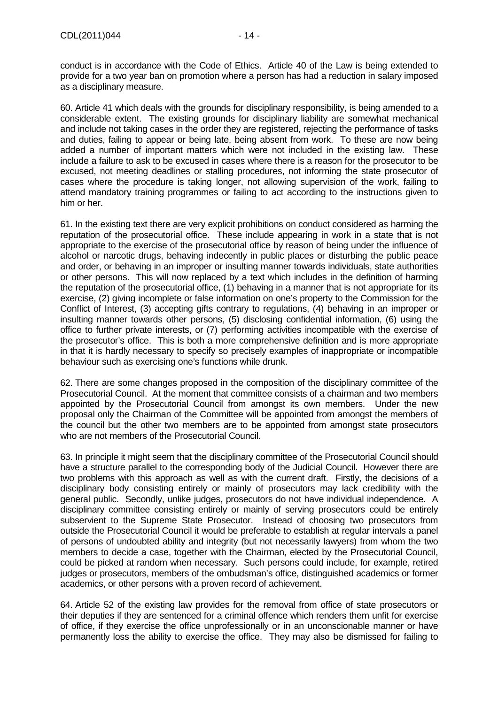conduct is in accordance with the Code of Ethics. Article 40 of the Law is being extended to provide for a two year ban on promotion where a person has had a reduction in salary imposed as a disciplinary measure.

60. Article 41 which deals with the grounds for disciplinary responsibility, is being amended to a considerable extent. The existing grounds for disciplinary liability are somewhat mechanical and include not taking cases in the order they are registered, rejecting the performance of tasks and duties, failing to appear or being late, being absent from work. To these are now being added a number of important matters which were not included in the existing law. These include a failure to ask to be excused in cases where there is a reason for the prosecutor to be excused, not meeting deadlines or stalling procedures, not informing the state prosecutor of cases where the procedure is taking longer, not allowing supervision of the work, failing to attend mandatory training programmes or failing to act according to the instructions given to him or her.

61. In the existing text there are very explicit prohibitions on conduct considered as harming the reputation of the prosecutorial office. These include appearing in work in a state that is not appropriate to the exercise of the prosecutorial office by reason of being under the influence of alcohol or narcotic drugs, behaving indecently in public places or disturbing the public peace and order, or behaving in an improper or insulting manner towards individuals, state authorities or other persons. This will now replaced by a text which includes in the definition of harming the reputation of the prosecutorial office, (1) behaving in a manner that is not appropriate for its exercise, (2) giving incomplete or false information on one's property to the Commission for the Conflict of Interest, (3) accepting gifts contrary to regulations, (4) behaving in an improper or insulting manner towards other persons, (5) disclosing confidential information, (6) using the office to further private interests, or (7) performing activities incompatible with the exercise of the prosecutor's office. This is both a more comprehensive definition and is more appropriate in that it is hardly necessary to specify so precisely examples of inappropriate or incompatible behaviour such as exercising one's functions while drunk.

62. There are some changes proposed in the composition of the disciplinary committee of the Prosecutorial Council. At the moment that committee consists of a chairman and two members appointed by the Prosecutorial Council from amongst its own members. Under the new proposal only the Chairman of the Committee will be appointed from amongst the members of the council but the other two members are to be appointed from amongst state prosecutors who are not members of the Prosecutorial Council.

63. In principle it might seem that the disciplinary committee of the Prosecutorial Council should have a structure parallel to the corresponding body of the Judicial Council. However there are two problems with this approach as well as with the current draft. Firstly, the decisions of a disciplinary body consisting entirely or mainly of prosecutors may lack credibility with the general public. Secondly, unlike judges, prosecutors do not have individual independence. A disciplinary committee consisting entirely or mainly of serving prosecutors could be entirely subservient to the Supreme State Prosecutor. Instead of choosing two prosecutors from outside the Prosecutorial Council it would be preferable to establish at regular intervals a panel of persons of undoubted ability and integrity (but not necessarily lawyers) from whom the two members to decide a case, together with the Chairman, elected by the Prosecutorial Council, could be picked at random when necessary. Such persons could include, for example, retired judges or prosecutors, members of the ombudsman's office, distinguished academics or former academics, or other persons with a proven record of achievement.

64. Article 52 of the existing law provides for the removal from office of state prosecutors or their deputies if they are sentenced for a criminal offence which renders them unfit for exercise of office, if they exercise the office unprofessionally or in an unconscionable manner or have permanently loss the ability to exercise the office. They may also be dismissed for failing to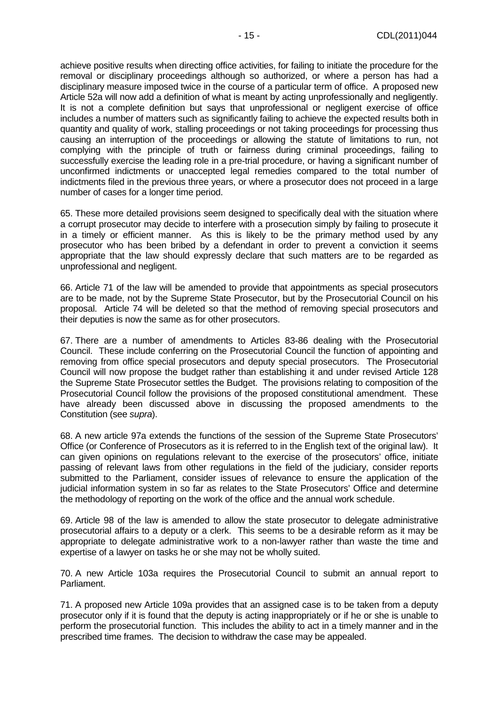achieve positive results when directing office activities, for failing to initiate the procedure for the removal or disciplinary proceedings although so authorized, or where a person has had a disciplinary measure imposed twice in the course of a particular term of office. A proposed new Article 52a will now add a definition of what is meant by acting unprofessionally and negligently. It is not a complete definition but says that unprofessional or negligent exercise of office includes a number of matters such as significantly failing to achieve the expected results both in quantity and quality of work, stalling proceedings or not taking proceedings for processing thus causing an interruption of the proceedings or allowing the statute of limitations to run, not complying with the principle of truth or fairness during criminal proceedings, failing to successfully exercise the leading role in a pre-trial procedure, or having a significant number of unconfirmed indictments or unaccepted legal remedies compared to the total number of indictments filed in the previous three years, or where a prosecutor does not proceed in a large number of cases for a longer time period.

65. These more detailed provisions seem designed to specifically deal with the situation where a corrupt prosecutor may decide to interfere with a prosecution simply by failing to prosecute it in a timely or efficient manner. As this is likely to be the primary method used by any prosecutor who has been bribed by a defendant in order to prevent a conviction it seems appropriate that the law should expressly declare that such matters are to be regarded as unprofessional and negligent.

66. Article 71 of the law will be amended to provide that appointments as special prosecutors are to be made, not by the Supreme State Prosecutor, but by the Prosecutorial Council on his proposal. Article 74 will be deleted so that the method of removing special prosecutors and their deputies is now the same as for other prosecutors.

67. There are a number of amendments to Articles 83-86 dealing with the Prosecutorial Council. These include conferring on the Prosecutorial Council the function of appointing and removing from office special prosecutors and deputy special prosecutors. The Prosecutorial Council will now propose the budget rather than establishing it and under revised Article 128 the Supreme State Prosecutor settles the Budget. The provisions relating to composition of the Prosecutorial Council follow the provisions of the proposed constitutional amendment. These have already been discussed above in discussing the proposed amendments to the Constitution (see supra).

68. A new article 97a extends the functions of the session of the Supreme State Prosecutors' Office (or Conference of Prosecutors as it is referred to in the English text of the original law). It can given opinions on regulations relevant to the exercise of the prosecutors' office, initiate passing of relevant laws from other regulations in the field of the judiciary, consider reports submitted to the Parliament, consider issues of relevance to ensure the application of the judicial information system in so far as relates to the State Prosecutors' Office and determine the methodology of reporting on the work of the office and the annual work schedule.

69. Article 98 of the law is amended to allow the state prosecutor to delegate administrative prosecutorial affairs to a deputy or a clerk. This seems to be a desirable reform as it may be appropriate to delegate administrative work to a non-lawyer rather than waste the time and expertise of a lawyer on tasks he or she may not be wholly suited.

70. A new Article 103a requires the Prosecutorial Council to submit an annual report to Parliament.

71. A proposed new Article 109a provides that an assigned case is to be taken from a deputy prosecutor only if it is found that the deputy is acting inappropriately or if he or she is unable to perform the prosecutorial function. This includes the ability to act in a timely manner and in the prescribed time frames. The decision to withdraw the case may be appealed.